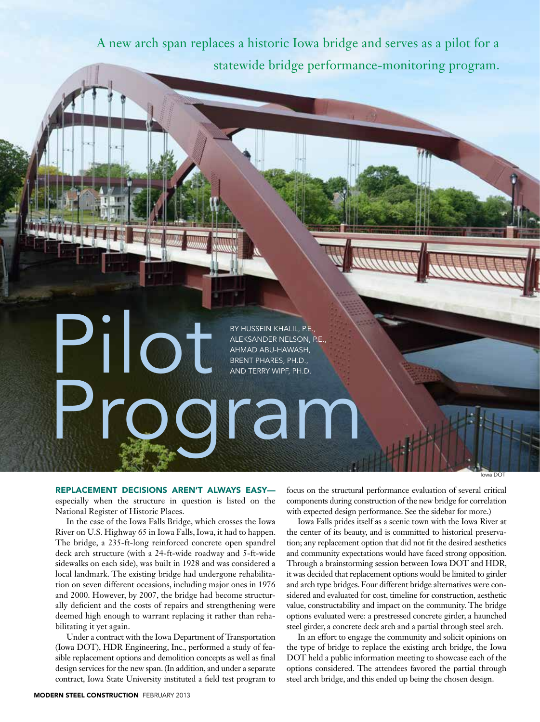A new arch span replaces a historic Iowa bridge and serves as a pilot for a statewide bridge performance-monitoring program.

> By Hussein Khalil, P.E., Aleksander Nelson, P.E., Ahmad Abu-Hawash, Brent Phares, Ph.D., and Terry Wipf, Ph.D.

> > lowa D

Replacement decisions aren't always easy especially when the structure in question is listed on the National Register of Historic Places.

Program

Pilot

In the case of the Iowa Falls Bridge, which crosses the Iowa River on U.S. Highway 65 in Iowa Falls, Iowa, it had to happen. The bridge, a 235-ft-long reinforced concrete open spandrel deck arch structure (with a 24-ft-wide roadway and 5-ft-wide sidewalks on each side), was built in 1928 and was considered a local landmark. The existing bridge had undergone rehabilitation on seven different occasions, including major ones in 1976 and 2000. However, by 2007, the bridge had become structurally deficient and the costs of repairs and strengthening were deemed high enough to warrant replacing it rather than rehabilitating it yet again.

Under a contract with the Iowa Department of Transportation (Iowa DOT), HDR Engineering, Inc., performed a study of feasible replacement options and demolition concepts as well as final design services for the new span. (In addition, and under a separate contract, Iowa State University instituted a field test program to

focus on the structural performance evaluation of several critical components during construction of the new bridge for correlation with expected design performance. See the sidebar for more.)

Iowa Falls prides itself as a scenic town with the Iowa River at the center of its beauty, and is committed to historical preservation; any replacement option that did not fit the desired aesthetics and community expectations would have faced strong opposition. Through a brainstorming session between Iowa DOT and HDR, it was decided that replacement options would be limited to girder and arch type bridges. Four different bridge alternatives were considered and evaluated for cost, timeline for construction, aesthetic value, constructability and impact on the community. The bridge options evaluated were: a prestressed concrete girder, a haunched steel girder, a concrete deck arch and a partial through steel arch.

In an effort to engage the community and solicit opinions on the type of bridge to replace the existing arch bridge, the Iowa DOT held a public information meeting to showcase each of the options considered. The attendees favored the partial through steel arch bridge, and this ended up being the chosen design.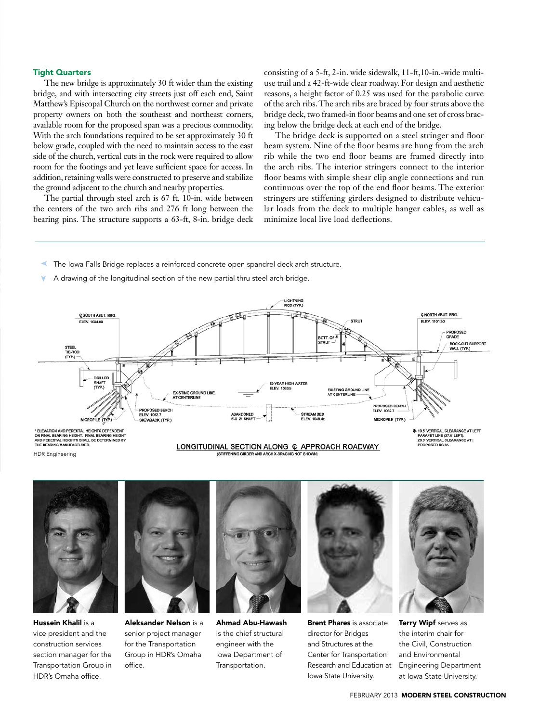### Tight Quarters

The new bridge is approximately 30 ft wider than the existing bridge, and with intersecting city streets just off each end, Saint Matthew's Episcopal Church on the northwest corner and private property owners on both the southeast and northeast corners, available room for the proposed span was a precious commodity. With the arch foundations required to be set approximately 30 ft below grade, coupled with the need to maintain access to the east side of the church, vertical cuts in the rock were required to allow room for the footings and yet leave sufficient space for access. In addition, retaining walls were constructed to preserve and stabilize the ground adjacent to the church and nearby properties.

The partial through steel arch is 67 ft, 10-in. wide between the centers of the two arch ribs and 276 ft long between the bearing pins. The structure supports a 63-ft, 8-in. bridge deck consisting of a 5-ft, 2-in. wide sidewalk, 11-ft,10-in.-wide multiuse trail and a 42-ft-wide clear roadway. For design and aesthetic reasons, a height factor of 0.25 was used for the parabolic curve of the arch ribs. The arch ribs are braced by four struts above the bridge deck, two framed-in floor beams and one set of cross bracing below the bridge deck at each end of the bridge.

The bridge deck is supported on a steel stringer and floor beam system. Nine of the floor beams are hung from the arch rib while the two end floor beams are framed directly into the arch ribs. The interior stringers connect to the interior floor beams with simple shear clip angle connections and run continuous over the top of the end floor beams. The exterior stringers are stiffening girders designed to distribute vehicular loads from the deck to multiple hanger cables, as well as minimize local live load deflections.

- ➤ The Iowa Falls Bridge replaces a reinforced concrete open spandrel deck arch structure.
- ➤ A drawing of the longitudinal section of the new partial thru steel arch bridge.



LONGITUDINAL SECTION ALONG @ APPROACH ROADWAY

" ELEVATION AND PEDESTAL HEIGHTS DEPENDI<br>ON FINAL BEARING HEIGHT. FINAL BEARING HE<br>AND PEDESTAL HEIGHTS SHALL BE DETERMINE<br>THE BEARING MANUFACTURER.

HDR Engineering



Hussein Khalil is a vice president and the construction services section manager for the Transportation Group in HDR's Omaha office.



Aleksander Nelson is a senior project manager for the Transportation Group in HDR's Omaha office.



Ahmad Abu-Hawash is the chief structural engineer with the Iowa Department of Transportation.



**Brent Phares** is associate director for Bridges and Structures at the Center for Transportation Research and Education at Iowa State University.



Terry Wipf serves as the interim chair for the Civil, Construction and Environmental Engineering Department at Iowa State University.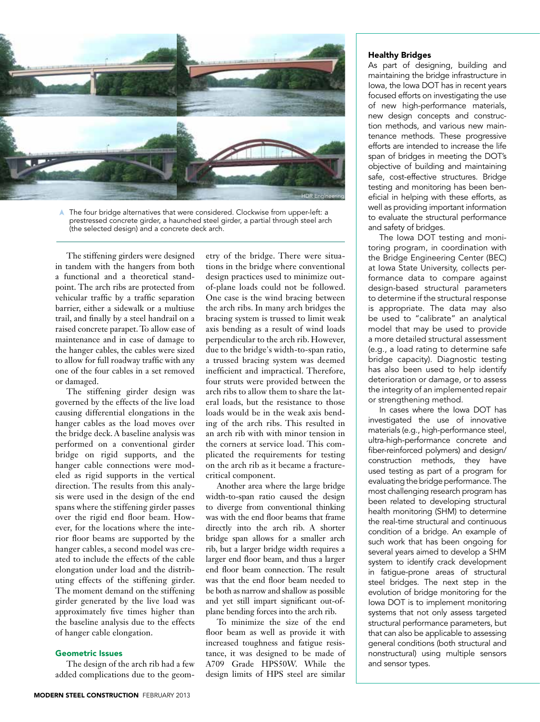

The four bridge alternatives that were considered. Clockwise from upper-left: a prestressed concrete girder, a haunched steel girder, a partial through steel arch (the selected design) and a concrete deck arch.

The stiffening girders were designed in tandem with the hangers from both a functional and a theoretical standpoint. The arch ribs are protected from vehicular traffic by a traffic separation barrier, either a sidewalk or a multiuse trail, and finally by a steel handrail on a raised concrete parapet. To allow ease of maintenance and in case of damage to the hanger cables, the cables were sized to allow for full roadway traffic with any one of the four cables in a set removed or damaged.

The stiffening girder design was governed by the effects of the live load causing differential elongations in the hanger cables as the load moves over the bridge deck. A baseline analysis was performed on a conventional girder bridge on rigid supports, and the hanger cable connections were modeled as rigid supports in the vertical direction. The results from this analysis were used in the design of the end spans where the stiffening girder passes over the rigid end floor beam. However, for the locations where the interior floor beams are supported by the hanger cables, a second model was created to include the effects of the cable elongation under load and the distributing effects of the stiffening girder. The moment demand on the stiffening girder generated by the live load was approximately five times higher than the baseline analysis due to the effects of hanger cable elongation.

## Geometric Issues

The design of the arch rib had a few added complications due to the geometry of the bridge. There were situations in the bridge where conventional design practices used to minimize outof-plane loads could not be followed. One case is the wind bracing between the arch ribs. In many arch bridges the bracing system is trussed to limit weak axis bending as a result of wind loads perpendicular to the arch rib. However, due to the bridge's width-to-span ratio, a trussed bracing system was deemed inefficient and impractical. Therefore, four struts were provided between the arch ribs to allow them to share the lateral loads, but the resistance to those loads would be in the weak axis bending of the arch ribs. This resulted in an arch rib with with minor tension in the corners at service load. This complicated the requirements for testing on the arch rib as it became a fracturecritical component.

Another area where the large bridge width-to-span ratio caused the design to diverge from conventional thinking was with the end floor beams that frame directly into the arch rib. A shorter bridge span allows for a smaller arch rib, but a larger bridge width requires a larger end floor beam, and thus a larger end floor beam connection. The result was that the end floor beam needed to be both as narrow and shallow as possible and yet still impart significant out-ofplane bending forces into the arch rib.

To minimize the size of the end floor beam as well as provide it with increased toughness and fatigue resistance, it was designed to be made of A709 Grade HPS50W. While the design limits of HPS steel are similar

# Healthy Bridges

As part of designing, building and maintaining the bridge infrastructure in Iowa, the Iowa DOT has in recent years focused efforts on investigating the use of new high-performance materials, new design concepts and construction methods, and various new maintenance methods. These progressive efforts are intended to increase the life span of bridges in meeting the DOT's objective of building and maintaining safe, cost-effective structures. Bridge testing and monitoring has been beneficial in helping with these efforts, as well as providing important information to evaluate the structural performance and safety of bridges.

The Iowa DOT testing and monitoring program, in coordination with the Bridge Engineering Center (BEC) at Iowa State University, collects performance data to compare against design-based structural parameters to determine if the structural response is appropriate. The data may also be used to "calibrate" an analytical model that may be used to provide a more detailed structural assessment (e.g., a load rating to determine safe bridge capacity). Diagnostic testing has also been used to help identify deterioration or damage, or to assess the integrity of an implemented repair or strengthening method.

In cases where the Iowa DOT has investigated the use of innovative materials (e.g., high-performance steel, ultra-high-performance concrete and fiber-reinforced polymers) and design/ construction methods, they have used testing as part of a program for evaluating the bridge performance. The most challenging research program has been related to developing structural health monitoring (SHM) to determine the real-time structural and continuous condition of a bridge. An example of such work that has been ongoing for several years aimed to develop a SHM system to identify crack development in fatigue-prone areas of structural steel bridges. The next step in the evolution of bridge monitoring for the Iowa DOT is to implement monitoring systems that not only assess targeted structural performance parameters, but that can also be applicable to assessing general conditions (both structural and nonstructural) using multiple sensors and sensor types.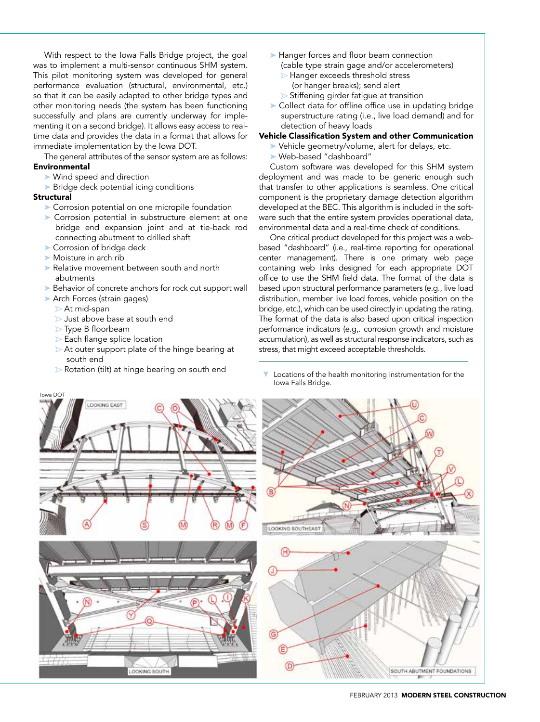With respect to the Iowa Falls Bridge project, the goal was to implement a multi-sensor continuous SHM system. This pilot monitoring system was developed for general performance evaluation (structural, environmental, etc.) so that it can be easily adapted to other bridge types and other monitoring needs (the system has been functioning successfully and plans are currently underway for implementing it on a second bridge). It allows easy access to realtime data and provides the data in a format that allows for immediate implementation by the Iowa DOT.

The general attributes of the sensor system are as follows: **Environmental** 

- ➤ Wind speed and direction
- ➤ Bridge deck potential icing conditions

#### **Structural**

- ➤ Corrosion potential on one micropile foundation
- ➤ Corrosion potential in substructure element at one bridge end expansion joint and at tie-back rod connecting abutment to drilled shaft
- ➤ Corrosion of bridge deck
- ➤ Moisture in arch rib
- ➤ Relative movement between south and north abutments
- ► Behavior of concrete anchors for rock cut support wall
- ➤ Arch Forces (strain gages)
	- At mid-span
	- Just above base at south end
	- **Type B floorbeam**
	- Each flange splice location
	- At outer support plate of the hinge bearing at south end
	- Rotation (tilt) at hinge bearing on south end
- ➤ Hanger forces and floor beam connection (cable type strain gage and/or accelerometers)
	- Hanger exceeds threshold stress (or hanger breaks); send alert
	- $\triangleright$  Stiffening girder fatigue at transition
- ➤ Collect data for offline office use in updating bridge superstructure rating (i.e., live load demand) and for detection of heavy loads

### Vehicle Classification System and other Communication

- ➤ Vehicle geometry/volume, alert for delays, etc.
- ➤ Web-based "dashboard"

Custom software was developed for this SHM system deployment and was made to be generic enough such that transfer to other applications is seamless. One critical component is the proprietary damage detection algorithm developed at the BEC. This algorithm is included in the software such that the entire system provides operational data, environmental data and a real-time check of conditions.

One critical product developed for this project was a webbased "dashboard" (i.e., real-time reporting for operational center management). There is one primary web page containing web links designed for each appropriate DOT office to use the SHM field data. The format of the data is based upon structural performance parameters (e.g., live load distribution, member live load forces, vehicle position on the bridge, etc.), which can be used directly in updating the rating. The format of the data is also based upon critical inspection performance indicators (e.g,. corrosion growth and moisture accumulation), as well as structural response indicators, such as stress, that might exceed acceptable thresholds.

Locations of the health monitoring instrumentation for the Iowa Falls Bridge. ➤

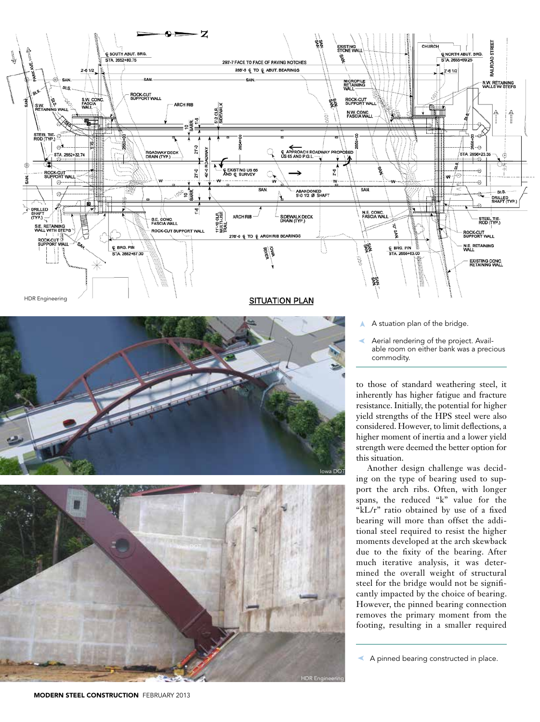

➤ Aerial rendering of the project. Available room on either bank was a precious commodity.

to those of standard weathering steel, it inherently has higher fatigue and fracture resistance. Initially, the potential for higher yield strengths of the HPS steel were also considered. However, to limit deflections, a higher moment of inertia and a lower yield strength were deemed the better option for this situation.

Another design challenge was deciding on the type of bearing used to support the arch ribs. Often, with longer spans, the reduced "k" value for the "kL/r" ratio obtained by use of a fixed bearing will more than offset the additional steel required to resist the higher moments developed at the arch skewback due to the fixity of the bearing. After much iterative analysis, it was determined the overall weight of structural steel for the bridge would not be significantly impacted by the choice of bearing. However, the pinned bearing connection removes the primary moment from the footing, resulting in a smaller required

➤ A pinned bearing constructed in place.